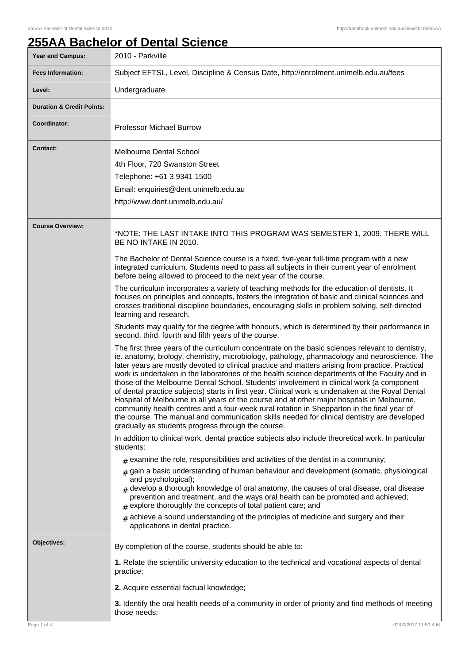## **255AA Bachelor of Dental Science**

| <b>Year and Campus:</b>              | 2010 - Parkville                                                                                                                                                                                                                                                                                                                                                                                                                                                                                                                                                                                                                                                                                                                                                                                                                                                                                                                                            |  |  |
|--------------------------------------|-------------------------------------------------------------------------------------------------------------------------------------------------------------------------------------------------------------------------------------------------------------------------------------------------------------------------------------------------------------------------------------------------------------------------------------------------------------------------------------------------------------------------------------------------------------------------------------------------------------------------------------------------------------------------------------------------------------------------------------------------------------------------------------------------------------------------------------------------------------------------------------------------------------------------------------------------------------|--|--|
| <b>Fees Information:</b>             | Subject EFTSL, Level, Discipline & Census Date, http://enrolment.unimelb.edu.au/fees                                                                                                                                                                                                                                                                                                                                                                                                                                                                                                                                                                                                                                                                                                                                                                                                                                                                        |  |  |
| Level:                               | Undergraduate                                                                                                                                                                                                                                                                                                                                                                                                                                                                                                                                                                                                                                                                                                                                                                                                                                                                                                                                               |  |  |
| <b>Duration &amp; Credit Points:</b> |                                                                                                                                                                                                                                                                                                                                                                                                                                                                                                                                                                                                                                                                                                                                                                                                                                                                                                                                                             |  |  |
| Coordinator:                         | <b>Professor Michael Burrow</b>                                                                                                                                                                                                                                                                                                                                                                                                                                                                                                                                                                                                                                                                                                                                                                                                                                                                                                                             |  |  |
| <b>Contact:</b>                      | <b>Melbourne Dental School</b>                                                                                                                                                                                                                                                                                                                                                                                                                                                                                                                                                                                                                                                                                                                                                                                                                                                                                                                              |  |  |
|                                      | 4th Floor, 720 Swanston Street                                                                                                                                                                                                                                                                                                                                                                                                                                                                                                                                                                                                                                                                                                                                                                                                                                                                                                                              |  |  |
|                                      | Telephone: +61 3 9341 1500                                                                                                                                                                                                                                                                                                                                                                                                                                                                                                                                                                                                                                                                                                                                                                                                                                                                                                                                  |  |  |
|                                      | Email: enquiries@dent.unimelb.edu.au                                                                                                                                                                                                                                                                                                                                                                                                                                                                                                                                                                                                                                                                                                                                                                                                                                                                                                                        |  |  |
|                                      | http://www.dent.unimelb.edu.au/                                                                                                                                                                                                                                                                                                                                                                                                                                                                                                                                                                                                                                                                                                                                                                                                                                                                                                                             |  |  |
|                                      |                                                                                                                                                                                                                                                                                                                                                                                                                                                                                                                                                                                                                                                                                                                                                                                                                                                                                                                                                             |  |  |
| <b>Course Overview:</b>              | *NOTE: THE LAST INTAKE INTO THIS PROGRAM WAS SEMESTER 1, 2009. THERE WILL<br>BE NO INTAKE IN 2010.                                                                                                                                                                                                                                                                                                                                                                                                                                                                                                                                                                                                                                                                                                                                                                                                                                                          |  |  |
|                                      | The Bachelor of Dental Science course is a fixed, five-year full-time program with a new<br>integrated curriculum. Students need to pass all subjects in their current year of enrolment<br>before being allowed to proceed to the next year of the course.                                                                                                                                                                                                                                                                                                                                                                                                                                                                                                                                                                                                                                                                                                 |  |  |
|                                      | The curriculum incorporates a variety of teaching methods for the education of dentists. It<br>focuses on principles and concepts, fosters the integration of basic and clinical sciences and<br>crosses traditional discipline boundaries, encouraging skills in problem solving, self-directed<br>learning and research.                                                                                                                                                                                                                                                                                                                                                                                                                                                                                                                                                                                                                                  |  |  |
|                                      | Students may qualify for the degree with honours, which is determined by their performance in<br>second, third, fourth and fifth years of the course.                                                                                                                                                                                                                                                                                                                                                                                                                                                                                                                                                                                                                                                                                                                                                                                                       |  |  |
|                                      | The first three years of the curriculum concentrate on the basic sciences relevant to dentistry,<br>ie. anatomy, biology, chemistry, microbiology, pathology, pharmacology and neuroscience. The<br>later years are mostly devoted to clinical practice and matters arising from practice. Practical<br>work is undertaken in the laboratories of the health science departments of the Faculty and in<br>those of the Melbourne Dental School. Students' involvement in clinical work (a component<br>of dental practice subjects) starts in first year. Clinical work is undertaken at the Royal Dental<br>Hospital of Melbourne in all years of the course and at other major hospitals in Melbourne,<br>community health centres and a four-week rural rotation in Shepparton in the final year of<br>the course. The manual and communication skills needed for clinical dentistry are developed<br>gradually as students progress through the course. |  |  |
|                                      | In addition to clinical work, dental practice subjects also include theoretical work. In particular<br>students:                                                                                                                                                                                                                                                                                                                                                                                                                                                                                                                                                                                                                                                                                                                                                                                                                                            |  |  |
|                                      | $_{\text{\#}}$ examine the role, responsibilities and activities of the dentist in a community;                                                                                                                                                                                                                                                                                                                                                                                                                                                                                                                                                                                                                                                                                                                                                                                                                                                             |  |  |
|                                      | $_{\#}$ gain a basic understanding of human behaviour and development (somatic, physiological<br>and psychological);<br>$#$ develop a thorough knowledge of oral anatomy, the causes of oral disease, oral disease<br>prevention and treatment, and the ways oral health can be promoted and achieved;<br>$#$ explore thoroughly the concepts of total patient care; and                                                                                                                                                                                                                                                                                                                                                                                                                                                                                                                                                                                    |  |  |
|                                      | $#$ achieve a sound understanding of the principles of medicine and surgery and their<br>applications in dental practice.                                                                                                                                                                                                                                                                                                                                                                                                                                                                                                                                                                                                                                                                                                                                                                                                                                   |  |  |
| Objectives:                          | By completion of the course, students should be able to:                                                                                                                                                                                                                                                                                                                                                                                                                                                                                                                                                                                                                                                                                                                                                                                                                                                                                                    |  |  |
|                                      | 1. Relate the scientific university education to the technical and vocational aspects of dental<br>practice;                                                                                                                                                                                                                                                                                                                                                                                                                                                                                                                                                                                                                                                                                                                                                                                                                                                |  |  |
|                                      | 2. Acquire essential factual knowledge;                                                                                                                                                                                                                                                                                                                                                                                                                                                                                                                                                                                                                                                                                                                                                                                                                                                                                                                     |  |  |
|                                      | 3. Identify the oral health needs of a community in order of priority and find methods of meeting<br>those needs;                                                                                                                                                                                                                                                                                                                                                                                                                                                                                                                                                                                                                                                                                                                                                                                                                                           |  |  |
| Page 1 of 4                          | 02/02/2017 11:50 A.M.                                                                                                                                                                                                                                                                                                                                                                                                                                                                                                                                                                                                                                                                                                                                                                                                                                                                                                                                       |  |  |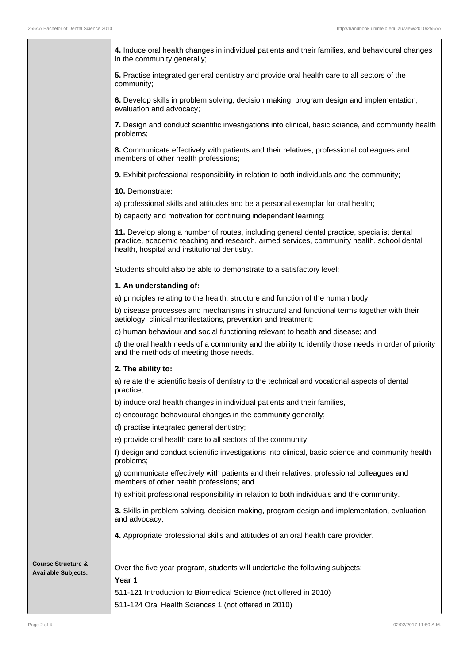**4.** Induce oral health changes in individual patients and their families, and behavioural changes in the community generally;

**5.** Practise integrated general dentistry and provide oral health care to all sectors of the community;

**6.** Develop skills in problem solving, decision making, program design and implementation, evaluation and advocacy;

**7.** Design and conduct scientific investigations into clinical, basic science, and community health problems;

**8.** Communicate effectively with patients and their relatives, professional colleagues and members of other health professions;

**9.** Exhibit professional responsibility in relation to both individuals and the community;

**10.** Demonstrate:

a) professional skills and attitudes and be a personal exemplar for oral health;

b) capacity and motivation for continuing independent learning;

**11.** Develop along a number of routes, including general dental practice, specialist dental practice, academic teaching and research, armed services, community health, school dental health, hospital and institutional dentistry.

Students should also be able to demonstrate to a satisfactory level:

## **1. An understanding of:**

a) principles relating to the health, structure and function of the human body;

b) disease processes and mechanisms in structural and functional terms together with their aetiology, clinical manifestations, prevention and treatment;

c) human behaviour and social functioning relevant to health and disease; and

d) the oral health needs of a community and the ability to identify those needs in order of priority and the methods of meeting those needs.

## **2. The ability to:**

a) relate the scientific basis of dentistry to the technical and vocational aspects of dental practice;

b) induce oral health changes in individual patients and their families,

c) encourage behavioural changes in the community generally;

d) practise integrated general dentistry;

e) provide oral health care to all sectors of the community;

f) design and conduct scientific investigations into clinical, basic science and community health problems;

g) communicate effectively with patients and their relatives, professional colleagues and members of other health professions; and

h) exhibit professional responsibility in relation to both individuals and the community.

**3.** Skills in problem solving, decision making, program design and implementation, evaluation and advocacy;

**4.** Appropriate professional skills and attitudes of an oral health care provider.

| <b>Course Structure &amp;</b><br><b>Available Subjects:</b> | Over the five year program, students will undertake the following subjects:<br>Year 1 |
|-------------------------------------------------------------|---------------------------------------------------------------------------------------|
|                                                             | 511-121 Introduction to Biomedical Science (not offered in 2010)                      |
|                                                             | 511-124 Oral Health Sciences 1 (not offered in 2010)                                  |